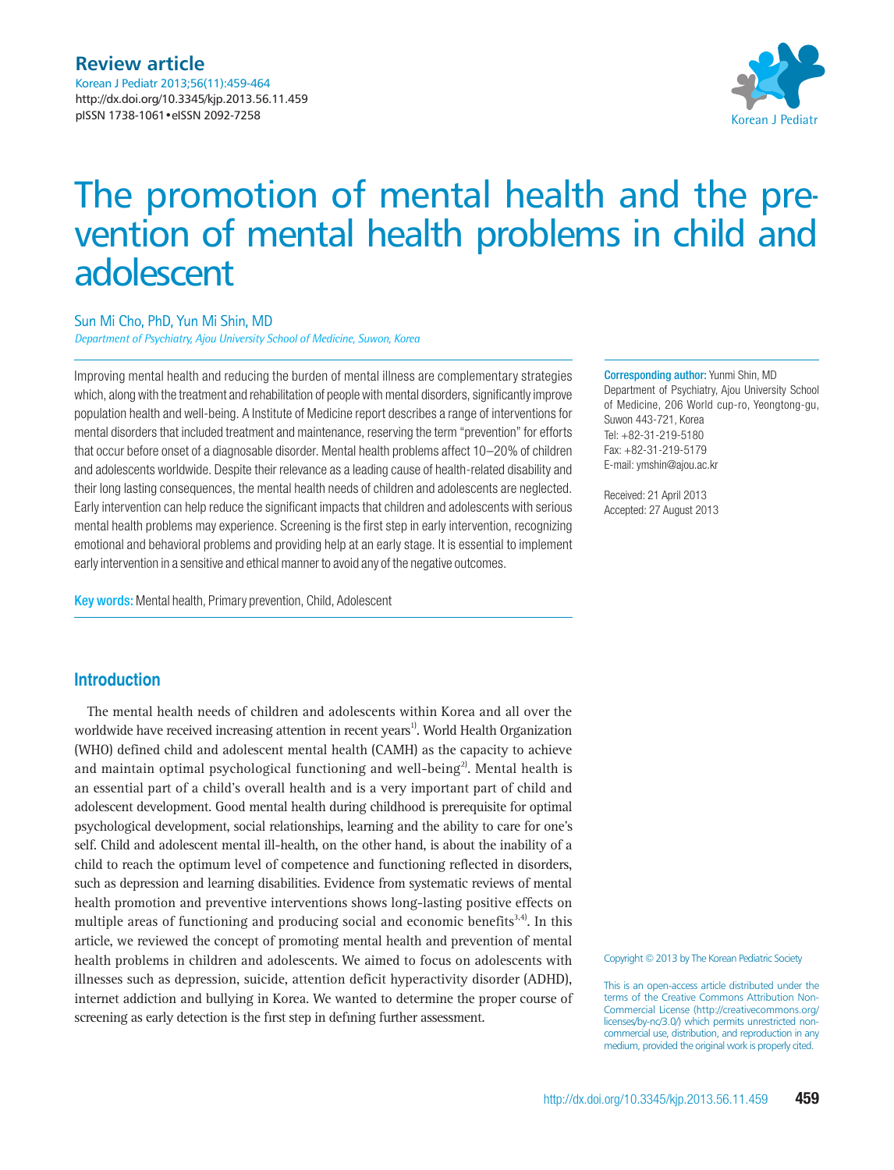

# The promotion of mental health and the prevention of mental health problems in child and adolescent

## Sun Mi Cho, PhD, Yun Mi Shin, MD

*Department of Psychiatry, Ajou University School of Medicine, Suwon, Korea*

Improving mental health and reducing the burden of mental illness are complementary strategies which, along with the treatment and rehabilitation of people with mental disorders, significantly improve population health and well-being. A Institute of Medicine report describes a range of interventions for mental disorders that included treatment and maintenance, reserving the term "prevention" for efforts that occur before onset of a diagnosable disorder. Mental health problems affect 10–20% of children and adolescents worldwide. Despite their relevance as a leading cause of health-related disability and their long lasting consequences, the mental health needs of children and adolescents are neglected. Early intervention can help reduce the significant impacts that children and adolescents with serious mental health problems may experience. Screening is the first step in early intervention, recognizing emotional and behavioral problems and providing help at an early stage. It is essential to implement early intervention in a sensitive and ethical manner to avoid any of the negative outcomes.

Key words: Mental health, Primary prevention, Child, Adolescent

Corresponding author: Yunmi Shin, MD Department of Psychiatry, Ajou University School of Medicine, 206 World cup-ro, Yeongtong-gu, Suwon 443-721, Korea Tel: +82-31-219-5180 Fax: +82-31-219-5179 E-mail: ymshin@ajou.ac.kr

Received: 21 April 2013 Accepted: 27 August 2013

# **Introduction**

The mental health needs of children and adolescents within Korea and all over the worldwide have received increasing attention in recent years<sup>1</sup>. World Health Organization (WHO) defined child and adolescent mental health (CAMH) as the capacity to achieve and maintain optimal psychological functioning and well-being<sup>2)</sup>. Mental health is an essential part of a child's overall health and is a very important part of child and adolescent development. Good mental health during childhood is prerequisite for optimal psychological development, social relationships, learning and the ability to care for one's self. Child and adolescent mental ill-health, on the other hand, is about the inability of a child to reach the optimum level of competence and functioning reflected in disorders, such as depression and learning disabilities. Evidence from systematic reviews of mental health promotion and preventive interventions shows long-lasting positive effects on multiple areas of functioning and producing social and economic benefits<sup>3,4)</sup>. In this article, we reviewed the concept of promoting mental health and prevention of mental health problems in children and adolescents. We aimed to focus on adolescents with illnesses such as depression, suicide, attention deficit hyperactivity disorder (ADHD), internet addiction and bullying in Korea. We wanted to determine the proper course of screening as early detection is the first step in defining further assessment.

Copyright © 2013 by The Korean Pediatric Society

This is an open-access article distributed under the terms of the Creative Commons Attribution Non-Commercial License (http://creativecommons.org/ licenses/by-nc/3.0/) which permits unrestricted noncommercial use, distribution, and reproduction in any medium, provided the original work is properly cited.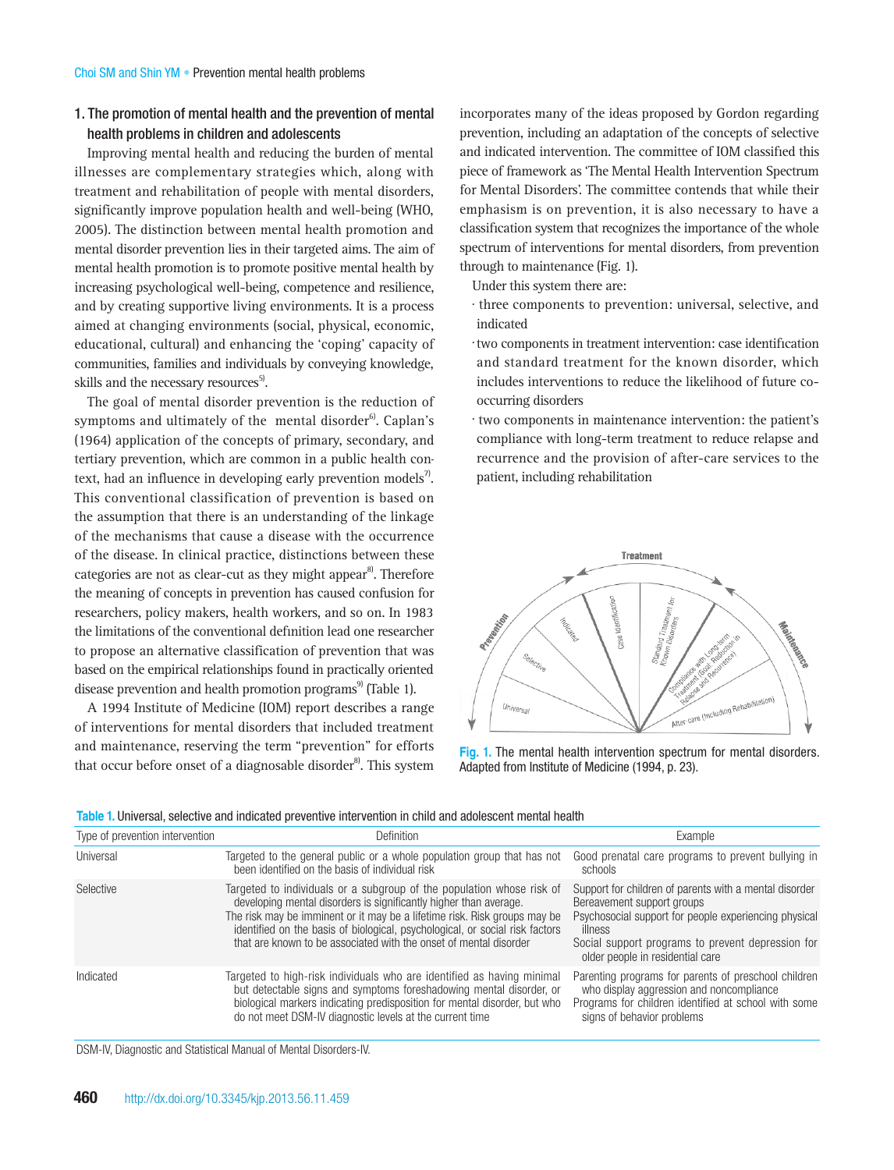# 1. The promotion of mental health and the prevention of mental health problems in children and adolescents

Improving mental health and reducing the burden of mental illnesses are complementary strategies which, along with treatment and rehabilitation of people with mental disorders, significantly improve population health and well-being (WHO, 2005). The distinction between mental health promotion and mental disorder prevention lies in their targeted aims. The aim of mental health promotion is to promote positive mental health by increasing psychological well-being, competence and resilience, and by creating supportive living environments. It is a process aimed at changing environments (social, physical, economic, educational, cultural) and enhancing the 'coping' capacity of communities, families and individuals by conveying knowledge, skills and the necessary resources<sup>5)</sup>.

The goal of mental disorder prevention is the reduction of symptoms and ultimately of the mental disorder $6$ . Caplan's (1964) application of the concepts of primary, secondary, and tertiary prevention, which are common in a public health context, had an influence in developing early prevention models<sup>7</sup>. This conventional classification of prevention is based on the assumption that there is an understanding of the linkage of the mechanisms that cause a disease with the occurrence of the disease. In clinical practice, distinctions between these categories are not as clear-cut as they might appear<sup>8</sup>. Therefore the meaning of concepts in prevention has caused confusion for researchers, policy makers, health workers, and so on. In 1983 the limitations of the conventional definition lead one researcher to propose an alternative classification of prevention that was based on the empirical relationships found in practically oriented disease prevention and health promotion programs<sup>9)</sup> (Table 1).

A 1994 Institute of Medicine (IOM) report describes a range of interventions for mental disorders that included treatment and maintenance, reserving the term "prevention" for efforts that occur before onset of a diagnosable disorder $8$ . This system incorporates many of the ideas proposed by Gordon regarding prevention, including an adaptation of the concepts of selective and indicated intervention. The committee of IOM classified this piece of framework as 'The Mental Health Intervention Spectrum for Mental Disorders'. The committee contends that while their emphasism is on prevention, it is also necessary to have a classification system that recognizes the importance of the whole spectrum of interventions for mental disorders, from prevention through to maintenance (Fig. 1).

Under this system there are:

- three components to prevention: universal, selective, and indicated
- two components in treatment intervention: case identification and standard treatment for the known disorder, which includes interventions to reduce the likelihood of future cooccurring disorders
- two components in maintenance intervention: the patient's compliance with long-term treatment to reduce relapse and recurrence and the provision of after-care services to the patient, including rehabilitation



**Fig. 1.** The mental health intervention spectrum for mental disorders. Adapted from Institute of Medicine (1994, p. 23).

| Type of prevention intervention | Definition                                                                                                                                                                                                                                                                                                                                                                   | Example                                                                                                                                                                                                                                           |
|---------------------------------|------------------------------------------------------------------------------------------------------------------------------------------------------------------------------------------------------------------------------------------------------------------------------------------------------------------------------------------------------------------------------|---------------------------------------------------------------------------------------------------------------------------------------------------------------------------------------------------------------------------------------------------|
| Universal                       | Targeted to the general public or a whole population group that has not<br>been identified on the basis of individual risk                                                                                                                                                                                                                                                   | Good prenatal care programs to prevent bullying in<br>schools                                                                                                                                                                                     |
| Selective                       | Targeted to individuals or a subgroup of the population whose risk of<br>developing mental disorders is significantly higher than average.<br>The risk may be imminent or it may be a lifetime risk. Risk groups may be<br>identified on the basis of biological, psychological, or social risk factors<br>that are known to be associated with the onset of mental disorder | Support for children of parents with a mental disorder<br>Bereavement support groups<br>Psychosocial support for people experiencing physical<br>illness<br>Social support programs to prevent depression for<br>older people in residential care |
| Indicated                       | Targeted to high-risk individuals who are identified as having minimal<br>but detectable signs and symptoms foreshadowing mental disorder, or<br>biological markers indicating predisposition for mental disorder, but who<br>do not meet DSM-IV diagnostic levels at the current time                                                                                       | Parenting programs for parents of preschool children<br>who display aggression and noncompliance<br>Programs for children identified at school with some<br>signs of behavior problems                                                            |

DSM-IV, Diagnostic and Statistical Manual of Mental Disorders-IV.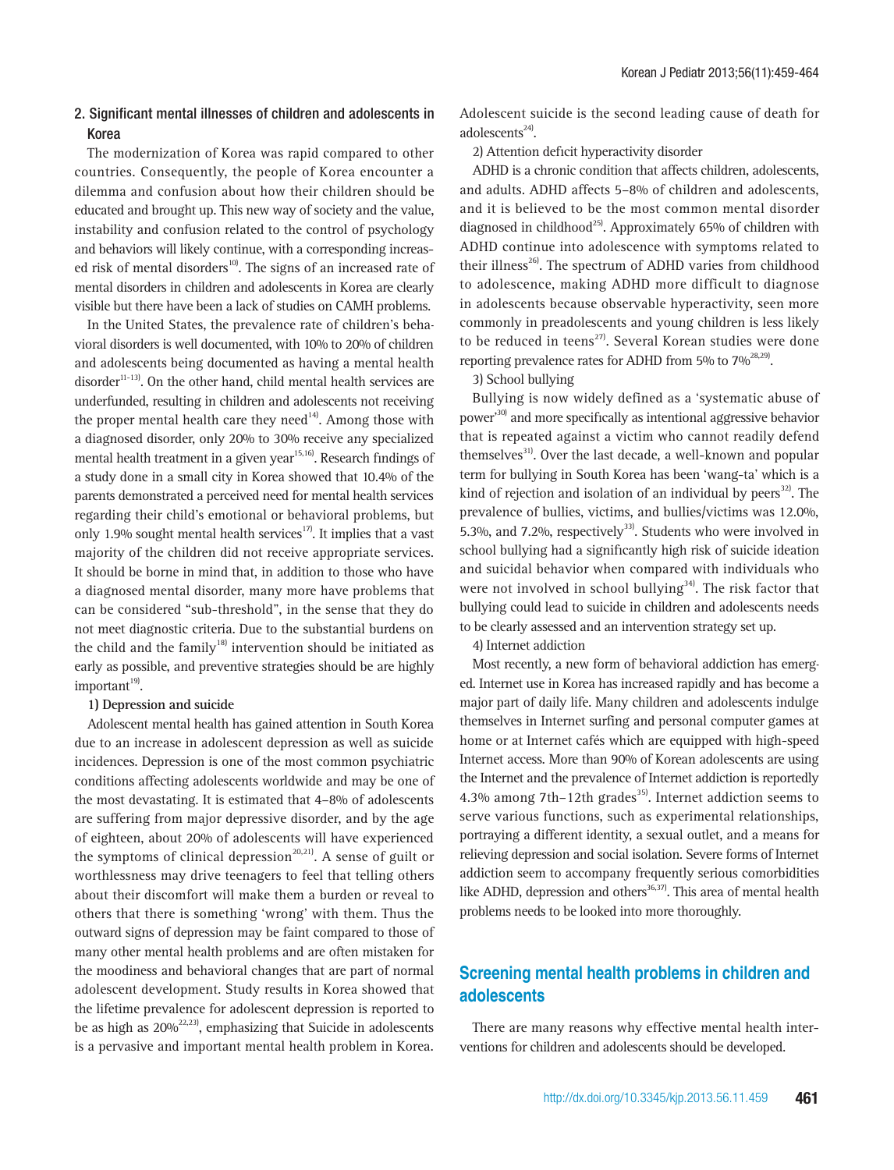# 2. Significant mental illnesses of children and adolescents in Korea

The modernization of Korea was rapid compared to other countries. Consequently, the people of Korea encounter a dilemma and confusion about how their children should be educated and brought up. This new way of society and the value, instability and confusion related to the control of psychology and behaviors will likely continue, with a corresponding increased risk of mental disorders<sup>10</sup>. The signs of an increased rate of mental disorders in children and adolescents in Korea are clearly visible but there have been a lack of studies on CAMH problems.

In the United States, the prevalence rate of children's behavioral disorders is well documented, with 10% to 20% of children and adolescents being documented as having a mental health disorder $11-13$ . On the other hand, child mental health services are underfunded, resulting in children and adolescents not receiving the proper mental health care they need $14$ <sup>14</sup>. Among those with a diagnosed disorder, only 20% to 30% receive any specialized mental health treatment in a given year<sup>15,16</sup>). Research findings of a study done in a small city in Korea showed that 10.4% of the parents demonstrated a perceived need for mental health services regarding their child's emotional or behavioral problems, but only 1.9% sought mental health services $17$ . It implies that a vast majority of the children did not receive appropriate services. It should be borne in mind that, in addition to those who have a diagnosed mental disorder, many more have problems that can be considered "sub-threshold", in the sense that they do not meet diagnostic criteria. Due to the substantial burdens on the child and the family<sup>18)</sup> intervention should be initiated as early as possible, and preventive strategies should be are highly  $important^{19}$ .

### **1) Depression and suicide**

Adolescent mental health has gained attention in South Korea due to an increase in adolescent depression as well as suicide incidences. Depression is one of the most common psychiatric conditions affecting adolescents worldwide and may be one of the most devastating. It is estimated that 4–8% of adolescents are suffering from major depressive disorder, and by the age of eighteen, about 20% of adolescents will have experienced the symptoms of clinical depression<sup>20,21)</sup>. A sense of guilt or worthlessness may drive teenagers to feel that telling others about their discomfort will make them a burden or reveal to others that there is something 'wrong' with them. Thus the outward signs of depression may be faint compared to those of many other mental health problems and are often mistaken for the moodiness and behavioral changes that are part of normal adolescent development. Study results in Korea showed that the lifetime prevalence for adolescent depression is reported to be as high as  $20\%^{22,23)}$ , emphasizing that Suicide in adolescents is a pervasive and important mental health problem in Korea. Adolescent suicide is the second leading cause of death for adolescents $24$ .

2) Attention deficit hyperactivity disorder

ADHD is a chronic condition that affects children, adolescents, and adults. ADHD affects 5–8% of children and adolescents, and it is believed to be the most common mental disorder diagnosed in childhood<sup>25)</sup>. Approximately 65% of children with ADHD continue into adolescence with symptoms related to their illness<sup>26)</sup>. The spectrum of ADHD varies from childhood to adolescence, making ADHD more difficult to diagnose in adolescents because observable hyperactivity, seen more commonly in preadolescents and young children is less likely to be reduced in teens<sup>27)</sup>. Several Korean studies were done reporting prevalence rates for ADHD from 5% to  $7\%^{28,29}$ .

3) School bullying

Bullying is now widely defined as a 'systematic abuse of power'30) and more specifically as intentional aggressive behavior that is repeated against a victim who cannot readily defend themselves<sup>31)</sup>. Over the last decade, a well-known and popular term for bullying in South Korea has been 'wang-ta' which is a kind of rejection and isolation of an individual by peers $^{32}$ . The prevalence of bullies, victims, and bullies/victims was 12.0%, 5.3%, and 7.2%, respectively<sup>33)</sup>. Students who were involved in school bullying had a significantly high risk of suicide ideation and suicidal behavior when compared with individuals who were not involved in school bullying<sup>34)</sup>. The risk factor that bullying could lead to suicide in children and adolescents needs to be clearly assessed and an intervention strategy set up.

4) Internet addiction

Most recently, a new form of behavioral addiction has emerged. Internet use in Korea has increased rapidly and has become a major part of daily life. Many children and adolescents indulge themselves in Internet surfing and personal computer games at home or at Internet cafés which are equipped with high-speed Internet access. More than 90% of Korean adolescents are using the Internet and the prevalence of Internet addiction is reportedly 4.3% among 7th–12th grades<sup>35)</sup>. Internet addiction seems to serve various functions, such as experimental relationships, portraying a different identity, a sexual outlet, and a means for relieving depression and social isolation. Severe forms of Internet addiction seem to accompany frequently serious comorbidities like ADHD, depression and others<sup>36,37)</sup>. This area of mental health problems needs to be looked into more thoroughly.

# **Screening mental health problems in children and adolescents**

There are many reasons why effective mental health interventions for children and adolescents should be developed.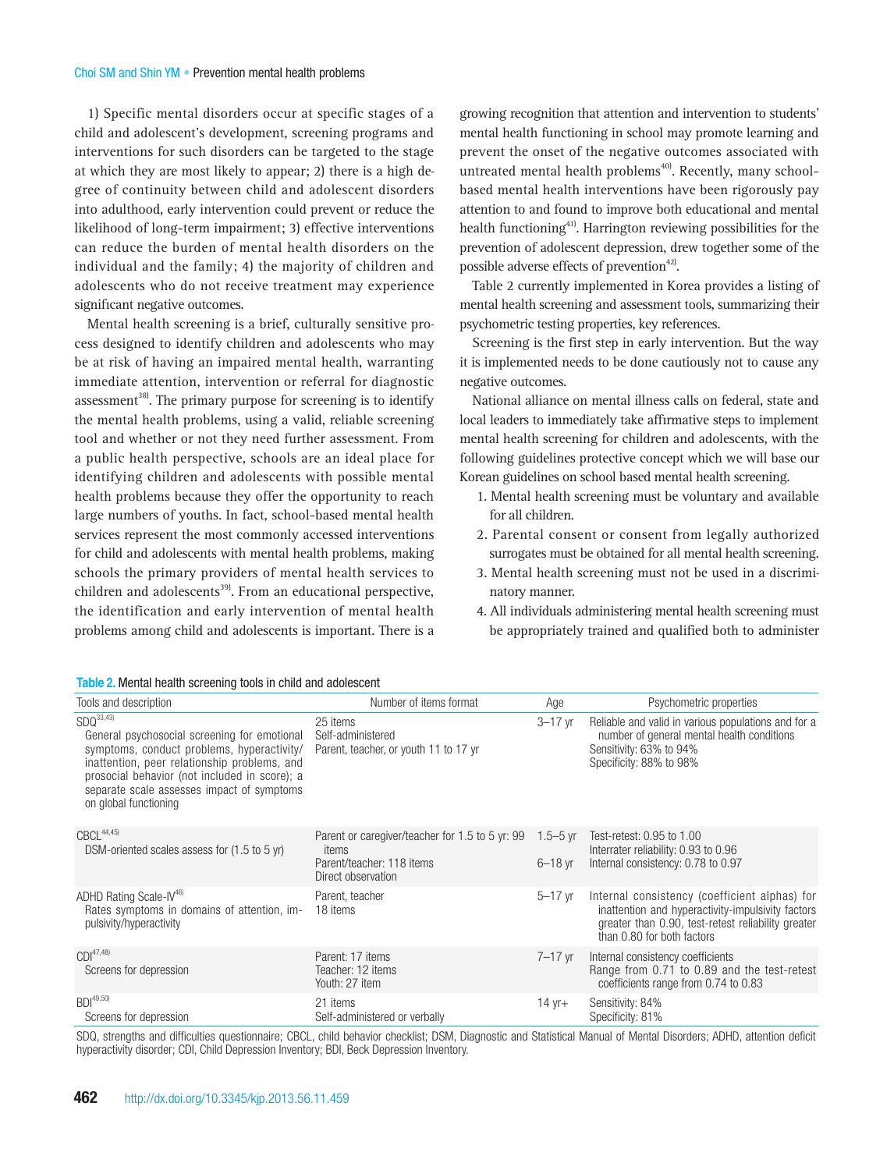#### Choi SM and Shin YM • Prevention mental health problems

1) Specific mental disorders occur at specific stages of a child and adolescent's development, screening programs and interventions for such disorders can be targeted to the stage at which they are most likely to appear; 2) there is a high degree of continuity between child and adolescent disorders into adulthood, early intervention could prevent or reduce the likelihood of long-term impairment; 3) effective interventions can reduce the burden of mental health disorders on the individual and the family; 4) the majority of children and adolescents who do not receive treatment may experience significant negative outcomes.

Mental health screening is a brief, culturally sensitive process designed to identify children and adolescents who may be at risk of having an impaired mental health, warranting immediate attention, intervention or referral for diagnostic assessment<sup>38)</sup>. The primary purpose for screening is to identify the mental health problems, using a valid, reliable screening tool and whether or not they need further assessment. From a public health perspective, schools are an ideal place for identifying children and adolescents with possible mental health problems because they offer the opportunity to reach large numbers of youths. In fact, school-based mental health services represent the most commonly accessed interventions for child and adolescents with mental health problems, making schools the primary providers of mental health services to children and adolescents<sup>39</sup>. From an educational perspective, the identification and early intervention of mental health problems among child and adolescents is important. There is a growing recognition that attention and intervention to students' mental health functioning in school may promote learning and prevent the onset of the negative outcomes associated with untreated mental health problems<sup>40)</sup>. Recently, many schoolbased mental health interventions have been rigorously pay attention to and found to improve both educational and mental health functioning<sup>41)</sup>. Harrington reviewing possibilities for the prevention of adolescent depression, drew together some of the possible adverse effects of prevention<sup>42)</sup>.

Table 2 currently implemented in Korea provides a listing of mental health screening and assessment tools, summarizing their psychometric testing properties, key references.

Screening is the first step in early intervention. But the way it is implemented needs to be done cautiously not to cause any negative outcomes.

National alliance on mental illness calls on federal, state and local leaders to immediately take affirmative steps to implement mental health screening for children and adolescents, with the following guidelines protective concept which we will base our Korean guidelines on school based mental health screening.

- 1. Mental health screening must be voluntary and available for all children.
- 2. Parental consent or consent from legally authorized surrogates must be obtained for all mental health screening.
- 3. Mental health screening must not be used in a discriminatory manner.
- 4. All individuals administering mental health screening must be appropriately trained and qualified both to administer

| Number of items format<br>Tools and description<br>SDQ <sup>33,43)</sup><br>25 items                                                                                                                                                                                                                                             | Age<br>$3 - 17$ yr       | Psychometric properties<br>Reliable and valid in various populations and for a                                                                                                         |
|----------------------------------------------------------------------------------------------------------------------------------------------------------------------------------------------------------------------------------------------------------------------------------------------------------------------------------|--------------------------|----------------------------------------------------------------------------------------------------------------------------------------------------------------------------------------|
|                                                                                                                                                                                                                                                                                                                                  |                          |                                                                                                                                                                                        |
| General psychosocial screening for emotional<br>Self-administered<br>symptoms, conduct problems, hyperactivity/<br>Parent, teacher, or youth 11 to 17 yr<br>inattention, peer relationship problems, and<br>prosocial behavior (not included in score); a<br>separate scale assesses impact of symptoms<br>on global functioning |                          | number of general mental health conditions<br>Sensitivity: 63% to 94%<br>Specificity: 88% to 98%                                                                                       |
| $CBCL^{44,45}$<br>Parent or caregiver/teacher for 1.5 to 5 yr: 99<br>DSM-oriented scales assess for (1.5 to 5 yr)<br>items<br>Parent/teacher: 118 items<br>Direct observation                                                                                                                                                    | 1.5 $-5$ vr<br>$6-18$ yr | Test-retest: 0.95 to 1.00<br>Interrater reliability: 0.93 to 0.96<br>Internal consistency: 0.78 to 0.97                                                                                |
| ADHD Rating Scale-IV <sup>46)</sup><br>Parent, teacher<br>Rates symptoms in domains of attention, im-<br>18 items<br>pulsivity/hyperactivity                                                                                                                                                                                     | $5-17$ yr                | Internal consistency (coefficient alphas) for<br>inattention and hyperactivity-impulsivity factors<br>greater than 0.90, test-retest reliability greater<br>than 0.80 for both factors |
| $CDI^{47,48}$<br>Parent: 17 items<br>Screens for depression<br>Teacher: 12 items<br>Youth: 27 item                                                                                                                                                                                                                               | $7 - 17$ yr              | Internal consistency coefficients<br>Range from 0.71 to 0.89 and the test-retest<br>coefficients range from 0.74 to 0.83                                                               |
| $BDI^{49,50}$<br>21 items<br>Screens for depression<br>Self-administered or verbally                                                                                                                                                                                                                                             | 14 yr+                   | Sensitivity: 84%<br>Specificity: 81%                                                                                                                                                   |

SDQ, strengths and difficulties questionnaire; CBCL, child behavior checklist; DSM, Diagnostic and Statistical Manual of Mental Disorders; ADHD, attention deficit hyperactivity disorder; CDI, Child Depression Inventory; BDI, Beck Depression Inventory.

## **Table 2.** Mental health screening tools in child and adolescent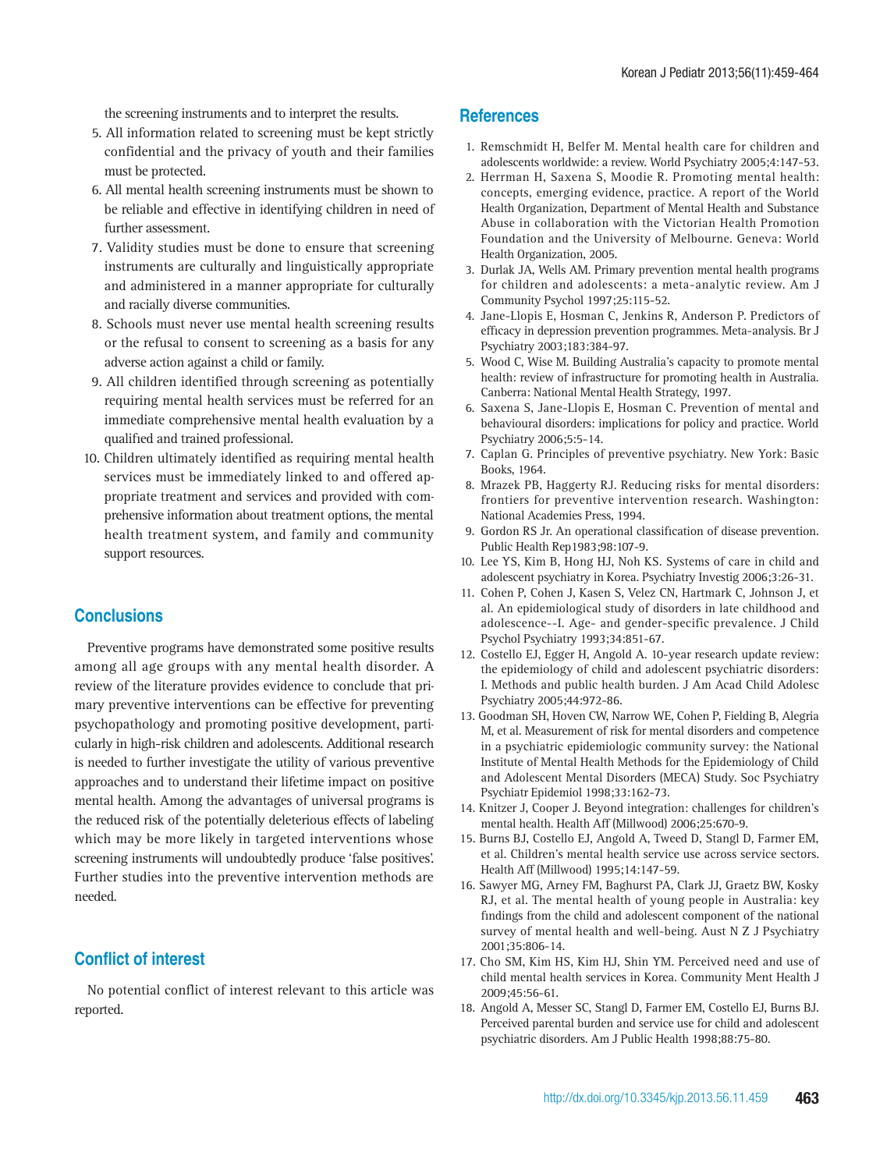the screening instruments and to interpret the results.

- 5. All information related to screening must be kept strictly confidential and the privacy of youth and their families must be protected.
- 6. All mental health screening instruments must be shown to be reliable and effective in identifying children in need of further assessment.
- 7. Validity studies must be done to ensure that screening instruments are culturally and linguistically appropriate and administered in a manner appropriate for culturally and racially diverse communities.
- 8. Schools must never use mental health screening results or the refusal to consent to screening as a basis for any adverse action against a child or family.
- 9. All children identified through screening as potentially requiring mental health services must be referred for an immediate comprehensive mental health evaluation by a qualified and trained professional.
- 10. Children ultimately identified as requiring mental health services must be immediately linked to and offered appropriate treatment and services and provided with comprehensive information about treatment options, the mental health treatment system, and family and community support resources.

# **Conclusions**

Preventive programs have demonstrated some positive results among all age groups with any mental health disorder. A review of the literature provides evidence to conclude that primary preventive interventions can be effective for preventing psychopathology and promoting positive development, particularly in high-risk children and adolescents. Additional research is needed to further investigate the utility of various preventive approaches and to understand their lifetime impact on positive mental health. Among the advantages of universal programs is the reduced risk of the potentially deleterious effects of labeling which may be more likely in targeted interventions whose screening instruments will undoubtedly produce 'false positives'. Further studies into the preventive intervention methods are needed.

# **Conflict of interest**

No potential conflict of interest relevant to this article was reported.

# **References**

- 1. Remschmidt H, Belfer M. Mental health care for children and adolescents worldwide: a review. World Psychiatry 2005;4:147-53.
- 2. Herrman H, Saxena S, Moodie R. Promoting mental health: concepts, emerging evidence, practice. A report of the World Health Organization, Department of Mental Health and Substance Abuse in collaboration with the Victorian Health Promotion Foundation and the University of Melbourne. Geneva: World Health Organization, 2005.
- 3. Durlak JA, Wells AM. Primary prevention mental health programs for children and adolescents: a meta-analytic review. Am J Community Psychol 1997;25:115-52.
- 4. Jane-Llopis E, Hosman C, Jenkins R, Anderson P. Predictors of efficacy in depression prevention programmes. Meta-analysis. Br J Psychiatry 2003;183:384-97.
- 5. Wood C, Wise M. Building Australia's capacity to promote mental health: review of infrastructure for promoting health in Australia. Canberra: National Mental Health Strategy, 1997.
- 6. Saxena S, Jane-Llopis E, Hosman C. Prevention of mental and behavioural disorders: implications for policy and practice. World Psychiatry 2006;5:5-14.
- 7. Caplan G. Principles of preventive psychiatry. New York: Basic Books, 1964.
- 8. Mrazek PB, Haggerty RJ. Reducing risks for mental disorders: frontiers for preventive intervention research. Washington: National Academies Press, 1994.
- 9. Gordon RS Jr. An operational classification of disease prevention. Public Health Rep1983;98:107-9.
- 10. Lee YS, Kim B, Hong HJ, Noh KS. Systems of care in child and adolescent psychiatry in Korea. Psychiatry Investig 2006;3:26-31.
- 11. Cohen P, Cohen J, Kasen S, Velez CN, Hartmark C, Johnson J, et al. An epidemiological study of disorders in late childhood and adolescence--I. Age- and gender-specific prevalence. J Child Psychol Psychiatry 1993;34:851-67.
- 12. Costello EJ, Egger H, Angold A. 10-year research update review: the epidemiology of child and adolescent psychiatric disorders: I. Methods and public health burden. J Am Acad Child Adolesc Psychiatry 2005;44:972-86.
- 13. Goodman SH, Hoven CW, Narrow WE, Cohen P, Fielding B, Alegria M, et al. Measurement of risk for mental disorders and competence in a psychiatric epidemiologic community survey: the National Institute of Mental Health Methods for the Epidemiology of Child and Adolescent Mental Disorders (MECA) Study. Soc Psychiatry Psychiatr Epidemiol 1998;33:162-73.
- 14. Knitzer J, Cooper J. Beyond integration: challenges for children's mental health. Health Aff (Millwood) 2006;25:670-9.
- 15. Burns BJ, Costello EJ, Angold A, Tweed D, Stangl D, Farmer EM, et al. Children's mental health service use across service sectors. Health Aff (Millwood) 1995;14:147-59.
- 16. Sawyer MG, Arney FM, Baghurst PA, Clark JJ, Graetz BW, Kosky RJ, et al. The mental health of young people in Australia: key findings from the child and adolescent component of the national survey of mental health and well-being. Aust N Z J Psychiatry 2001;35:806-14.
- 17. Cho SM, Kim HS, Kim HJ, Shin YM. Perceived need and use of child mental health services in Korea. Community Ment Health J 2009;45:56-61.
- 18. Angold A, Messer SC, Stangl D, Farmer EM, Costello EJ, Burns BJ. Perceived parental burden and service use for child and adolescent psychiatric disorders. Am J Public Health 1998;88:75-80.